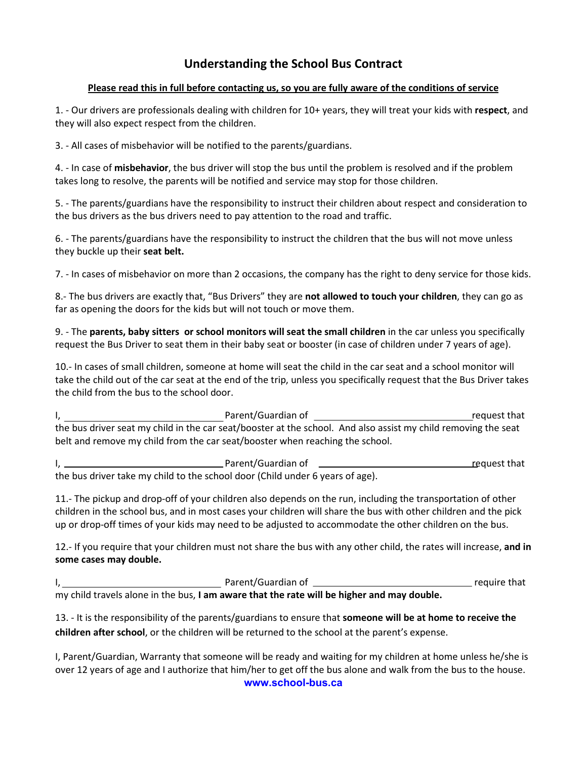## **Understanding the School Bus Contract**

#### **Please read this in full before contacting us, so you are fully aware of the conditions of service**

1. - Our drivers are professionals dealing with children for 10+ years, they will treat your kids with **respect**, and they will also expect respect from the children.

3. - All cases of misbehavior will be notified to the parents/guardians.

4. - In case of **misbehavior**, the bus driver will stop the bus until the problem is resolved and if the problem takes long to resolve, the parents will be notified and service may stop for those children.

5. - The parents/guardians have the responsibility to instruct their children about respect and consideration to the bus drivers as the bus drivers need to pay attention to the road and traffic.

6. - The parents/guardians have the responsibility to instruct the children that the bus will not move unless they buckle up their **seat belt.**

7. - In cases of misbehavior on more than 2 occasions, the company has the right to deny service for those kids.

8.- The bus drivers are exactly that, "Bus Drivers" they are **not allowed to touch your children**, they can go as far as opening the doors for the kids but will not touch or move them.

9. - The **parents, baby sitters or school monitors will seat the small children** in the car unless you specifically request the Bus Driver to seat them in their baby seat or booster (in case of children under 7 years of age).

10.- In cases of small children, someone at home will seat the child in the car seat and a school monitor will take the child out of the car seat at the end of the trip, unless you specifically request that the Bus Driver takes the child from the bus to the school door.

I, the contract of the contract of the Parent/Guardian of the contract of the contract of the contract of the contract of the contract of the contract of the contract of the contract of the contract of the contract of the the bus driver seat my child in the car seat/booster at the school. And also assist my child removing the seat belt and remove my child from the car seat/booster when reaching the school.

I, 1. 2008 The Superson of Parent/Guardian of  $\overline{\phantom{a}}$  request that the bus driver take my child to the school door (Child under 6 years of age).

11.- The pickup and drop-off of your children also depends on the run, including the transportation of other children in the school bus, and in most cases your children will share the bus with other children and the pick up or drop-off times of your kids may need to be adjusted to accommodate the other children on the bus.

12.- If you require that your children must not share the bus with any other child, the rates will increase, **and in some cases may double.** 

|                                                                                            | Parent/Guardian of | require that |
|--------------------------------------------------------------------------------------------|--------------------|--------------|
| my child travels alone in the bus, I am aware that the rate will be higher and may double. |                    |              |

13. - It is the responsibility of the parents/guardians to ensure that **someone will be at home to receive the children after school**, or the children will be returned to the school at the parent's expense.

**www.school-bus.ca**  I, Parent/Guardian, Warranty that someone will be ready and waiting for my children at home unless he/she is over 12 years of age and I authorize that him/her to get off the bus alone and walk from the bus to the house.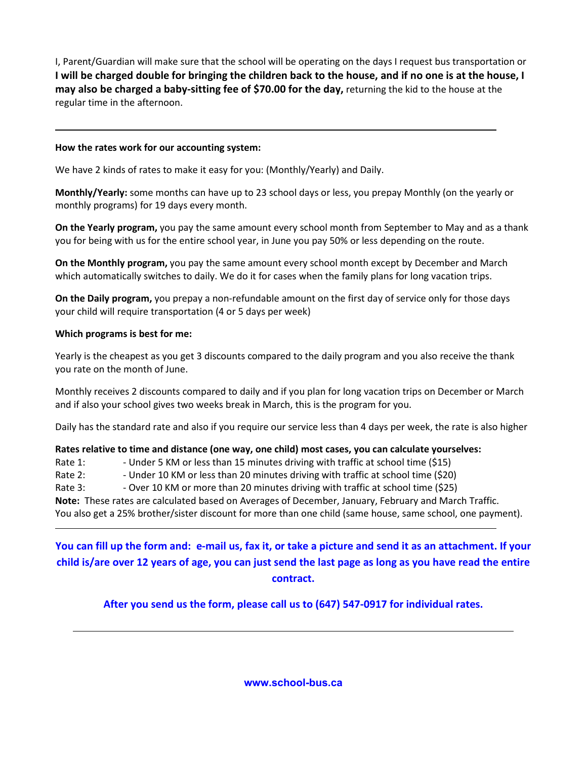I, Parent/Guardian will make sure that the school will be operating on the days I request bus transportation or **I will be charged double for bringing the children back to the house, and if no one is at the house, I may also be charged a baby-sitting fee of \$70.00 for the day,** returning the kid to the house at the regular time in the afternoon.

### **How the rates work for our accounting system:**

l

 $\overline{a}$ 

We have 2 kinds of rates to make it easy for you: (Monthly/Yearly) and Daily.

**Monthly/Yearly:** some months can have up to 23 school days or less, you prepay Monthly (on the yearly or monthly programs) for 19 days every month.

**On the Yearly program,** you pay the same amount every school month from September to May and as a thank you for being with us for the entire school year, in June you pay 50% or less depending on the route.

**On the Monthly program,** you pay the same amount every school month except by December and March which automatically switches to daily. We do it for cases when the family plans for long vacation trips.

**On the Daily program,** you prepay a non-refundable amount on the first day of service only for those days your child will require transportation (4 or 5 days per week)

### **Which programs is best for me:**

Yearly is the cheapest as you get 3 discounts compared to the daily program and you also receive the thank you rate on the month of June.

Monthly receives 2 discounts compared to daily and if you plan for long vacation trips on December or March and if also your school gives two weeks break in March, this is the program for you.

Daily has the standard rate and also if you require our service less than 4 days per week, the rate is also higher

#### **Rates relative to time and distance (one way, one child) most cases, you can calculate yourselves:**

Rate 1: - - Under 5 KM or less than 15 minutes driving with traffic at school time (\$15)

Rate 2: - - Under 10 KM or less than 20 minutes driving with traffic at school time (\$20)

Rate 3: - - Over 10 KM or more than 20 minutes driving with traffic at school time (\$25)

**Note:** These rates are calculated based on Averages of December, January, February and March Traffic.

You also get a 25% brother/sister discount for more than one child (same house, same school, one payment).

**You can fill up the form and: e-mail us, fax it, or take a picture and send it as an attachment. If your child is/are over 12 years of age, you can just send the last page as long as you have read the entire contract.** 

**After you send us the form, please call us to (647) 547-0917 for individual rates.** 

**www.school-bus.ca**